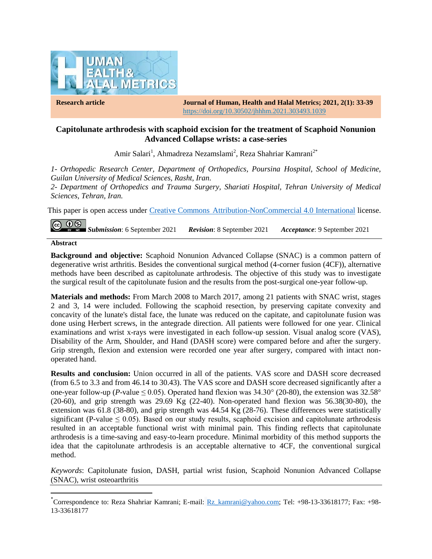

**Research article Journal of Human, Health and Halal Metrics; 2021, 2(1): 33-39** https://doi.org/10.30502/jhhhm.2021.303493.1039

## **Capitolunate arthrodesis with scaphoid excision for the treatment of Scaphoid Nonunion Advanced Collapse wrists: a case-series**

Amir Salari<sup>1</sup>, Ahmadreza Nezamslami<sup>2</sup>, Reza Shahriar Kamrani<sup>2\*</sup>

*1- Orthopedic Research Center, Department of Orthopedics, Poursina Hospital, School of Medicine, Guilan University of Medical Sciences, Rasht, Iran.*

*2- Department of Orthopedics and Trauma Surgery, Shariati Hospital, Tehran University of Medical Sciences, Tehran, Iran.*

This paper is open access under Creative Commons [Attribution-NonCommercial 4.0 International](https://creativecommons.org/licenses/by-nc/4.0/) license.

 $\circledcirc$ *Submission*: 6 September 2021 *Revision*: 8 September 2021 *Acceptance*: 9 September 2021

#### **Abstract**

 $\overline{\phantom{a}}$ 

**Background and objective:** Scaphoid Nonunion Advanced Collapse (SNAC) is a common pattern of degenerative wrist arthritis. Besides the conventional surgical method (4-corner fusion (4CF)), alternative methods have been described as capitolunate arthrodesis. The objective of this study was to investigate the surgical result of the capitolunate fusion and the results from the post-surgical one-year follow-up.

**Materials and methods:** From March 2008 to March 2017, among 21 patients with SNAC wrist, stages 2 and 3, 14 were included. Following the scaphoid resection, by preserving capitate convexity and concavity of the lunate's distal face, the lunate was reduced on the capitate, and capitolunate fusion was done using Herbert screws, in the antegrade direction. All patients were followed for one year. Clinical examinations and wrist x-rays were investigated in each follow-up session. Visual analog score (VAS), Disability of the Arm, Shoulder, and Hand (DASH score) were compared before and after the surgery. Grip strength, flexion and extension were recorded one year after surgery, compared with intact nonoperated hand.

**Results and conclusion:** Union occurred in all of the patients. VAS score and DASH score decreased (from 6.5 to 3.3 and from 46.14 to 30.43). The VAS score and DASH score decreased significantly after a one-year follow-up (*P*-value  $\leq$  0.05). Operated hand flexion was 34.30 $^{\circ}$  (20-80), the extension was 32.58 $^{\circ}$ (20-60), and grip strength was 29.69 Kg (22-40). Non-operated hand flexion was 56.38(30-80), the extension was 61.8 (38-80), and grip strength was 44.54 Kg (28-76). These differences were statistically significant (P-value  $\leq 0.05$ ). Based on our study results, scaphoid excision and capitolunate arthrodesis resulted in an acceptable functional wrist with minimal pain. This finding reflects that capitolunate arthrodesis is a time-saving and easy-to-learn procedure. Minimal morbidity of this method supports the idea that the capitolunate arthrodesis is an acceptable alternative to 4CF, the conventional surgical method.

*Keywords*: Capitolunate fusion, DASH, partial wrist fusion, Scaphoid Nonunion Advanced Collapse (SNAC), wrist osteoarthritis

<sup>\*</sup>Correspondence to: Reza Shahriar Kamrani; E-mail: [Rz\\_kamrani@yahoo.com;](mailto:Rz_kamrani@yahoo.com) Tel: +98-13-33618177; Fax: +98-13-33618177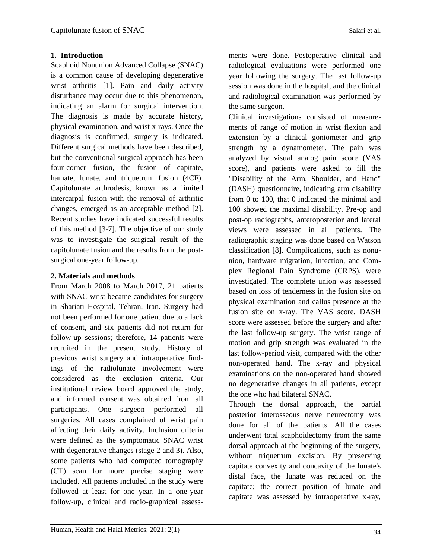Scaphoid Nonunion Advanced Collapse (SNAC) is a common cause of developing degenerative wrist arthritis [1]. Pain and daily activity disturbance may occur due to this phenomenon, indicating an alarm for surgical intervention. The diagnosis is made by accurate history, physical examination, and wrist x-rays. Once the diagnosis is confirmed, surgery is indicated. Different surgical methods have been described, but the conventional surgical approach has been four-corner fusion, the fusion of capitate, hamate, lunate, and triquetrum fusion (4CF). Capitolunate arthrodesis, known as a limited intercarpal fusion with the removal of arthritic changes, emerged as an acceptable method [2]. Recent studies have indicated successful results of this method [3-7]. The objective of our study was to investigate the surgical result of the capitolunate fusion and the results from the postsurgical one-year follow-up.

# **2. Materials and methods**

From March 2008 to March 2017, 21 patients with SNAC wrist became candidates for surgery in Shariati Hospital, Tehran, Iran. Surgery had not been performed for one patient due to a lack of consent, and six patients did not return for follow-up sessions; therefore, 14 patients were recruited in the present study. History of previous wrist surgery and intraoperative findings of the radiolunate involvement were considered as the exclusion criteria. Our institutional review board approved the study, and informed consent was obtained from all participants. One surgeon performed all surgeries. All cases complained of wrist pain affecting their daily activity. Inclusion criteria were defined as the symptomatic SNAC wrist with degenerative changes (stage 2 and 3). Also, some patients who had computed tomography (CT) scan for more precise staging were included. All patients included in the study were followed at least for one year. In a one-year follow-up, clinical and radio-graphical assessments were done. Postoperative clinical and radiological evaluations were performed one year following the surgery. The last follow-up session was done in the hospital, and the clinical and radiological examination was performed by the same surgeon.

Clinical investigations consisted of measurements of range of motion in wrist flexion and extension by a clinical goniometer and grip strength by a dynamometer. The pain was analyzed by visual analog pain score (VAS score), and patients were asked to fill the "Disability of the Arm, Shoulder, and Hand" (DASH) questionnaire, indicating arm disability from 0 to 100, that 0 indicated the minimal and 100 showed the maximal disability. Pre-op and post-op radiographs, anteroposterior and lateral views were assessed in all patients. The radiographic staging was done based on Watson classification [8]. Complications, such as nonunion, hardware migration, infection, and Complex Regional Pain Syndrome (CRPS), were investigated. The complete union was assessed based on loss of tenderness in the fusion site on physical examination and callus presence at the fusion site on x-ray. The VAS score, DASH score were assessed before the surgery and after the last follow-up surgery. The wrist range of motion and grip strength was evaluated in the last follow-period visit, compared with the other non-operated hand. The x-ray and physical examinations on the non-operated hand showed no degenerative changes in all patients, except the one who had bilateral SNAC.

Through the dorsal approach, the partial posterior interosseous nerve neurectomy was done for all of the patients. All the cases underwent total scaphoidectomy from the same dorsal approach at the beginning of the surgery, without triquetrum excision. By preserving capitate convexity and concavity of the lunate's distal face, the lunate was reduced on the capitate; the correct position of lunate and capitate was assessed by intraoperative x-ray,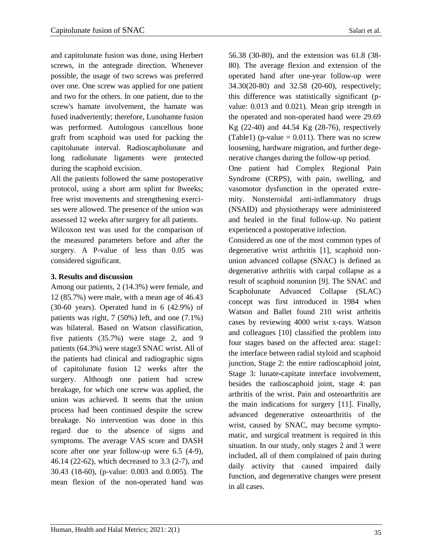and capitolunate fusion was done, using Herbert screws, in the antegrade direction. Whenever possible, the usage of two screws was preferred over one. One screw was applied for one patient and two for the others. In one patient, due to the screw's hamate involvement, the hamate was fused inadvertently; therefore, Lunohamte fusion was performed. Autologous cancellous bone graft from scaphoid was used for packing the capitolunate interval. Radioscapholunate and long radiolunate ligaments were protected during the scaphoid excision.

All the patients followed the same postoperative protocol, using a short arm splint for 8weeks; free wrist movements and strengthening exercises were allowed. The presence of the union was assessed 12 weeks after surgery for all patients.

Wilcoxon test was used for the comparison of the measured parameters before and after the surgery. A P-value of less than 0.05 was considered significant.

## **3. Results and discussion**

Among our patients, 2 (14.3%) were female, and 12 (85.7%) were male, with a mean age of 46.43 (30-60 years). Operated hand in 6 (42.9%) of patients was right, 7 (50%) left, and one (7.1%) was bilateral. Based on Watson classification, five patients (35.7%) were stage 2, and 9 patients (64.3%) were stage3 SNAC wrist. All of the patients had clinical and radiographic signs of capitolunate fusion 12 weeks after the surgery. Although one patient had screw breakage, for which one screw was applied, the union was achieved. It seems that the union process had been continued despite the screw breakage. No intervention was done in this regard due to the absence of signs and symptoms. The average VAS score and DASH score after one year follow-up were 6.5 (4-9), 46.14 (22-62), which decreased to 3.3 (2-7), and 30.43 (18-60), (p-value: 0.003 and 0.005). The mean flexion of the non-operated hand was

56.38 (30-80), and the extension was 61.8 (38- 80). The average flexion and extension of the operated hand after one-year follow-up were 34.30(20-80) and 32.58 (20-60), respectively; this difference was statistically significant (pvalue: 0.013 and 0.021). Mean grip strength in the operated and non-operated hand were 29.69 Kg (22-40) and 44.54 Kg (28-76), respectively (Table1) (p-value  $= 0.011$ ). There was no screw loosening, hardware migration, and further dege-

One patient had Complex Regional Pain Syndrome (CRPS), with pain, swelling, and vasomotor dysfunction in the operated extremity. Nonsteroidal anti-inflammatory drugs (NSAID) and physiotherapy were administered and healed in the final follow-up. No patient experienced a postoperative infection.

nerative changes during the follow-up period.

Considered as one of the most common types of degenerative wrist arthritis [1], scaphoid nonunion advanced collapse (SNAC) is defined as degenerative arthritis with carpal collapse as a result of scaphoid nonunion [9]. The SNAC and Scapholunate Advanced Collapse (SLAC) concept was first introduced in 1984 when Watson and Ballet found 210 wrist arthritis cases by reviewing 4000 wrist x-rays. Watson and colleagues [10] classified the problem into four stages based on the affected area: stage1: the interface between radial styloid and scaphoid junction, Stage 2: the entire radioscaphoid joint, Stage 3: lunate-capitate interface involvement, besides the radioscaphoid joint, stage 4: pan arthritis of the wrist. Pain and osteoarthritis are the main indications for surgery [11]. Finally, advanced degenerative osteoarthritis of the wrist, caused by SNAC, may become symptomatic, and surgical treatment is required in this situation. In our study, only stages 2 and 3 were included, all of them complained of pain during daily activity that caused impaired daily function, and degenerative changes were present in all cases.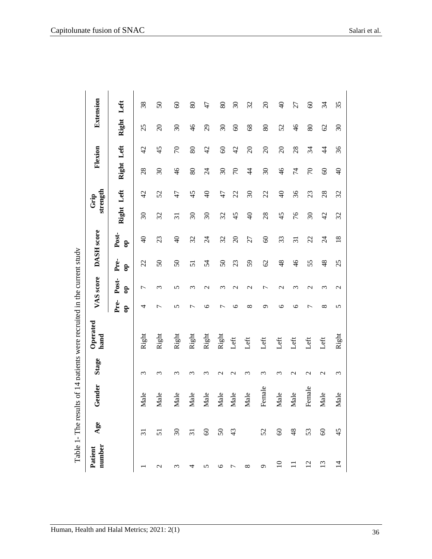| number<br>Patient | Age             | Gender | Stage                 | Operated<br>hand |                      | VAS score             |                      | DASH score            |                          | strength<br>Grip         |                          | Flexion        |                 | Extension                |
|-------------------|-----------------|--------|-----------------------|------------------|----------------------|-----------------------|----------------------|-----------------------|--------------------------|--------------------------|--------------------------|----------------|-----------------|--------------------------|
|                   |                 |        |                       |                  | Pre-<br>$\mathbf{e}$ | Post-<br>$\mathbf{e}$ | Pre-<br>$\mathbf{e}$ | Post-<br>$\mathbf{e}$ | Right                    | Left                     | Right Left               |                | Right           | Left                     |
|                   | $\overline{3}$  | Male   | $\epsilon$            | Right            | 4                    | 7                     | 22                   | $\frac{1}{4}$         | $\overline{\mathcal{E}}$ | 42                       | 28                       | $\overline{c}$ | 25              | 38                       |
| $\mathbf 2$       | 51              | Male   | ξ                     | Right            | 7                    | ξ                     | $\mathcal{S}$        | 23                    | 32                       | 52                       | $\overline{\mathcal{E}}$ | 45             | $\Omega$        | $50\,$                   |
| ω                 | $\mathfrak{S}0$ | Male   | $\epsilon$            | Right            | 5                    | 5                     | $50\,$               | $\Theta$              | $\overline{31}$          | 47                       | 46                       | $\mathcal{L}$  | $\mathfrak{S}0$ | 8                        |
| 4                 | $\overline{31}$ | Male   | 3                     | Right            | ┌                    | $\sim$                | 51                   | 32                    | $\overline{\mathcal{E}}$ | 45                       | 80                       | 80             | $\frac{6}{5}$   | 80                       |
| n                 | $\infty$        | Male   | ξ                     | Right            | ७                    | $\mathbf{\Omega}$     | 54                   | $\overline{24}$       | $\overline{\mathcal{E}}$ | $\overline{4}$           | $\overline{24}$          | $\overline{4}$ | $\overline{29}$ | 47                       |
| ७                 | 50              | Male   | $\mathcal{C}$         | Right            | $\overline{ }$       | S                     | $50\,$               | 32                    | 32                       | 47                       | $\overline{\omega}$      | $\odot$        | $\mathfrak{S}0$ | 80                       |
| ┌                 | 43              | Male   | $\mathbf{\mathsf{u}}$ | Left             | ७                    | $\mathbf{C}$          | 23                   | $\Omega$              | 45                       | 22                       | $\sqrt{2}$               | 42             | $\infty$        | $\overline{\mathcal{E}}$ |
| ∞                 |                 | Male   | ξ                     | Left             | $\infty$             | $\mathbf{\sim}$       | 59                   | 27                    | $\overline{4}$           | $\overline{\mathcal{E}}$ | $\frac{4}{4}$            | $\Omega$       | 8 <sup>o</sup>  | 32                       |
| G                 | 52              | Female | 3                     | Left             | ᡋ                    | Γ                     | $\mathcal{O}$        | $\infty$              | 28                       | 22                       | $\overline{\omega}$      | $\Omega$       | 80              | $\Omega$                 |
| $\Xi$             | $\odot$         | Male   | $\omega$              | Left             | ७                    | $\mathbf{\sim}$       | $\frac{8}{3}$        | 33                    | 45                       | $\overline{4}$           | 46                       | $\Omega$       | 52              | $\Theta$                 |
| $\Xi$             | $\frac{8}{3}$   | Male   | $\mathbf{\Omega}$     | Left             | ७                    | 3                     | $\frac{4}{6}$        | $\overline{31}$       | 76                       | 36                       | 74                       | 28             | $\frac{4}{6}$   | 27                       |
| 12                | 53              | Female | $\mathbf{\sim}$       | Left             | 7                    | $\mathbf{\sim}$       | 55                   | 22                    | $\overline{30}$          | 23                       | $\sqrt{2}$               | 34             | 80              | $\Im$                    |
| 13                | $\odot$         | Male   | $\mathbf 2$           | Left             | ∞                    | $\epsilon$            | $\frac{8}{3}$        | $\overline{c}$        | 42                       | 28                       | $\Im$                    | $\ddot{4}$     | $\mathcal{O}$   | 34                       |
| $\overline{1}$    | 45              | Male   | $\epsilon$            | Right            | 5                    | $\mathcal{C}$         | 25                   | $\overline{18}$       | 32                       | 32                       | $\frac{1}{4}$            | 36             | $\mathcal{S}$   | 35                       |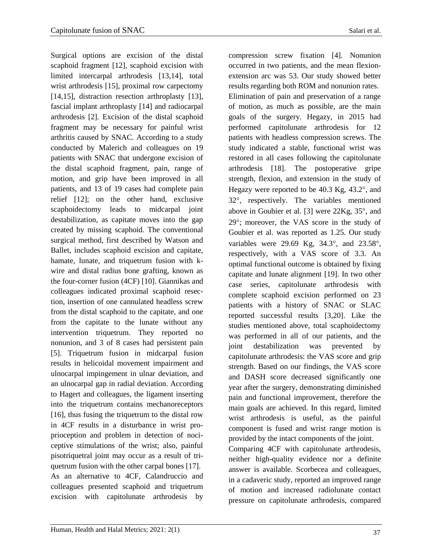Surgical options are excision of the distal scaphoid fragment [12], scaphoid excision with limited intercarpal arthrodesis [13,14], total wrist arthrodesis [15], proximal row carpectomy [14,15], distraction resection arthroplasty [13], fascial implant arthroplasty [14] and radiocarpal arthrodesis [2]. Excision of the distal scaphoid fragment may be necessary for painful wrist arthritis caused by SNAC. According to a study conducted by Malerich and colleagues on 19 patients with SNAC that undergone excision of the distal scaphoid fragment, pain, range of motion, and grip have been improved in all patients, and 13 of 19 cases had complete pain relief [12]; on the other hand, exclusive scaphoidectomy leads to midcarpal joint destabilization, as capitate moves into the gap created by missing scaphoid. The conventional surgical method, first described by Watson and Ballet, includes scaphoid excision and capitate, hamate, lunate, and triquetrum fusion with kwire and distal radius bone grafting, known as the four-corner fusion (4CF) [10]. Giannikas and colleagues indicated proximal scaphoid resection, insertion of one cannulated headless screw from the distal scaphoid to the capitate, and one from the capitate to the lunate without any intervention triquetrum. They reported no nonunion, and 3 of 8 cases had persistent pain [5]. Triquetrum fusion in midcarpal fusion results in helicoidal movement impairment and ulnocarpal impingement in ulnar deviation, and an ulnocarpal gap in radial deviation. According to Hagert and colleagues, the ligament inserting into the triquetrum contains mechanoreceptors [16], thus fusing the triquetrum to the distal row in 4CF results in a disturbance in wrist proprioception and problem in detection of nociceptive stimulations of the wrist; also, painful pisotriquetral joint may occur as a result of triquetrum fusion with the other carpal bones [17]. As an alternative to 4CF, Calandruccio and colleagues presented scaphoid and triquetrum excision with capitolunate arthrodesis by

compression screw fixation [4]. Nonunion occurred in two patients, and the mean flexionextension arc was 53. Our study showed better results regarding both ROM and nonunion rates. Elimination of pain and preservation of a range of motion, as much as possible, are the main goals of the surgery. Hegazy, in 2015 had performed capitolunate arthrodesis for 12 patients with headless compression screws. The study indicated a stable, functional wrist was restored in all cases following the capitolunate arthrodesis [18]. The postoperative gripe strength, flexion, and extension in the study of Hegazy were reported to be  $40.3$  Kg,  $43.2^{\circ}$ , and 32, respectively. The variables mentioned above in Goubier et al. [3] were  $22Kg$ ,  $35^\circ$ , and 29°; moreover, the VAS score in the study of Goubier et al. was reported as 1.25. Our study variables were 29.69 Kg,  $34.3^{\circ}$ , and  $23.58^{\circ}$ , respectively, with a VAS score of 3.3. An optimal functional outcome is obtained by fixing capitate and lunate alignment [19]. In two other case series, capitolunate arthrodesis with complete scaphoid excision performed on 23 patients with a history of SNAC or SLAC reported successful results [3,20]. Like the studies mentioned above, total scaphoidectomy was performed in all of our patients, and the joint destabilization was prevented by capitolunate arthrodesis: the VAS score and grip strength. Based on our findings, the VAS score and DASH score decreased significantly one year after the surgery, demonstrating diminished pain and functional improvement, therefore the main goals are achieved. In this regard, limited wrist arthrodesis is useful, as the painful component is fused and wrist range motion is provided by the intact components of the joint.

Comparing 4CF with capitolunate arthrodesis, neither high-quality evidence nor a definite answer is available. Scorbecea and colleagues, in a cadaveric study, reported an improved range of motion and increased radiolunate contact pressure on capitolunate arthrodesis, compared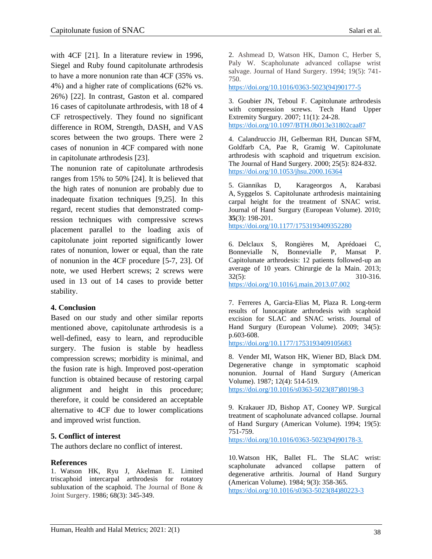with 4CF [21]. In a literature review in 1996, Siegel and Ruby found capitolunate arthrodesis to have a more nonunion rate than 4CF (35% vs. 4%) and a higher rate of complications (62% vs. 26%) [22]. In contrast, Gaston et al. compared 16 cases of capitolunate arthrodesis, with 18 of 4 CF retrospectively. They found no significant difference in ROM, Strength, DASH, and VAS scores between the two groups. There were 2 cases of nonunion in 4CF compared with none in capitolunate arthrodesis [23].

The nonunion rate of capitolunate arthrodesis ranges from 15% to 50% [24]. It is believed that the high rates of nonunion are probably due to inadequate fixation techniques [9,25]. In this regard, recent studies that demonstrated compression techniques with compressive screws placement parallel to the loading axis of capitolunate joint reported significantly lower rates of nonunion, lower or equal, than the rate of nonunion in the 4CF procedure [5-7, 23]. Of note, we used Herbert screws; 2 screws were used in 13 out of 14 cases to provide better stability.

### **4. Conclusion**

Based on our study and other similar reports mentioned above, capitolunate arthrodesis is a well-defined, easy to learn, and reproducible surgery. The fusion is stable by headless compression screws; morbidity is minimal, and the fusion rate is high. Improved post-operation function is obtained because of restoring carpal alignment and height in this procedure; therefore, it could be considered an acceptable alternative to 4CF due to lower complications and improved wrist function.

### **5. Conflict of interest**

The authors declare no conflict of interest.

#### **References**

1. Watson HK, Ryu J, Akelman E. Limited triscaphoid intercarpal arthrodesis for rotatory subluxation of the scaphoid. The Journal of Bone & Joint Surgery. 1986; 68(3): 345-349.

2. Ashmead D, [Watson](https://www.sciencedirect.com/science/article/abs/pii/0363502394901775#!) HK, [Damon](https://www.sciencedirect.com/science/article/abs/pii/0363502394901775#!) C, [Herber](https://www.sciencedirect.com/science/article/abs/pii/0363502394901775#!) S, [Paly W.](https://www.sciencedirect.com/science/article/abs/pii/0363502394901775#!) Scapholunate advanced collapse wrist salvage. [Journal of Hand Surgery.](https://www.sciencedirect.com/science/journal/03635023) 1994; 19(5): 741- 750.

[https://doi.org/10.1016/0363-5023\(94\)90177-5](https://doi.org/10.1016/0363-5023(94)90177-5)

3. Goubier JN, Teboul F. Capitolunate arthrodesis with compression screws. Tech Hand Upper Extremity Surgury. 2007; 11(1): 24-28. https://doi.org/10.1097/BTH.0b013e31802caa87

4. Calandruccio JH, [Gelberman](https://www.sciencedirect.com/science/article/abs/pii/S0363502300296652#!) RH, [Duncan](https://www.sciencedirect.com/science/article/abs/pii/S0363502300296652#!) SFM, [Goldfarb](https://www.sciencedirect.com/science/article/abs/pii/S0363502300296652#!) CA, [Pae](https://www.sciencedirect.com/science/article/abs/pii/S0363502300296652#!) R, [Gramig](https://www.sciencedirect.com/science/article/abs/pii/S0363502300296652#!) W. Capitolunate arthrodesis with scaphoid and triquetrum excision. The Journal of Hand Surgery. 2000; 25(5): 824-832. <https://doi.org/10.1053/jhsu.2000.16364>

5. Giannikas D, [Karageorgos](https://pubmed.ncbi.nlm.nih.gov/?term=Karageorgos+A&cauthor_id=20031996) A, [Karabasi](https://pubmed.ncbi.nlm.nih.gov/?term=Karabasi+A&cauthor_id=20031996) A, [Syggelos](https://pubmed.ncbi.nlm.nih.gov/?term=Syggelos+S&cauthor_id=20031996) S. Capitolunate arthrodesis maintaining carpal height for the treatment of SNAC wrist. Journal of Hand Surgury (European Volume). 2010; **35**(3): 198-201.

https://doi.org[/10.1177/1753193409352280](https://doi.org/10.1177/1753193409352280)

6. Delclaux S, [Rongières](https://pubmed.ncbi.nlm.nih.gov/?term=Rongi%C3%A8res+M&cauthor_id=23953276) M, [Aprédoaei](https://pubmed.ncbi.nlm.nih.gov/?term=Apr%C3%A9doaei+C&cauthor_id=23953276) C[,](https://pubmed.ncbi.nlm.nih.gov/?term=Bonnevialle+N&cauthor_id=23953276) [Bonnevialle](https://pubmed.ncbi.nlm.nih.gov/?term=Bonnevialle+N&cauthor_id=23953276) N, [Bonnevialle](https://pubmed.ncbi.nlm.nih.gov/?term=Bonnevialle+P&cauthor_id=23953276) P, [Mansat](https://pubmed.ncbi.nlm.nih.gov/?term=Mansat+P&cauthor_id=23953276) P. Capitolunate arthrodesis: 12 patients followed-up an average of 10 years. [Chirurgie de la Main.](https://www.researchgate.net/journal/Chirurgie-de-la-Main-1297-3203) 2013; 32(5): 310-316.

https://doi.org[/10.1016/j.main.2013.07.002](http://dx.doi.org/10.1016/j.main.2013.07.002)

7. Ferreres A, Garcia-Elias M, Plaza R. Long-term results of lunocapitate arthrodesis with scaphoid excision for SLAC and SNAC wrists. Journal of Hand Surgury (European Volume). 2009; 34(5): p.603-608.

[https://doi.org/10.1177/1753193409105683](https://doi.org/10.1177%2F1753193409105683)

8. Vender MI, [Watson](https://pubmed.ncbi.nlm.nih.gov/?term=Watson+HK&cauthor_id=3611645) HK, [Wiener](https://pubmed.ncbi.nlm.nih.gov/?term=Wiener+BD&cauthor_id=3611645) BD, [Black](https://pubmed.ncbi.nlm.nih.gov/?term=Black+DM&cauthor_id=3611645) DM. Degenerative change in symptomatic scaphoid nonunion. Journal of Hand Surgury (American Volume). 1987; 12(4): 514-519. https://doi.org[/10.1016/s0363-5023\(87\)80198-3](https://doi.org/10.1016/s0363-5023(87)80198-3)

9. Krakauer JD, Bishop AT, Cooney WP. Surgical treatment of scapholunate advanced collapse. Journal of Hand Surgury (American Volume). 1994; 19(5): 751-759.

https://doi.org/10.1016/0363-5023(94)90178-3.

10.Watson HK, Ballet FL. The SLAC wrist: scapholunate advanced collapse pattern of degenerative arthritis. Journal of Hand Surgury (American Volume). 1984; 9(3): 358-365. https://doi.org[/10.1016/s0363-5023\(84\)80223-3](https://doi.org/10.1016/s0363-5023(84)80223-3)